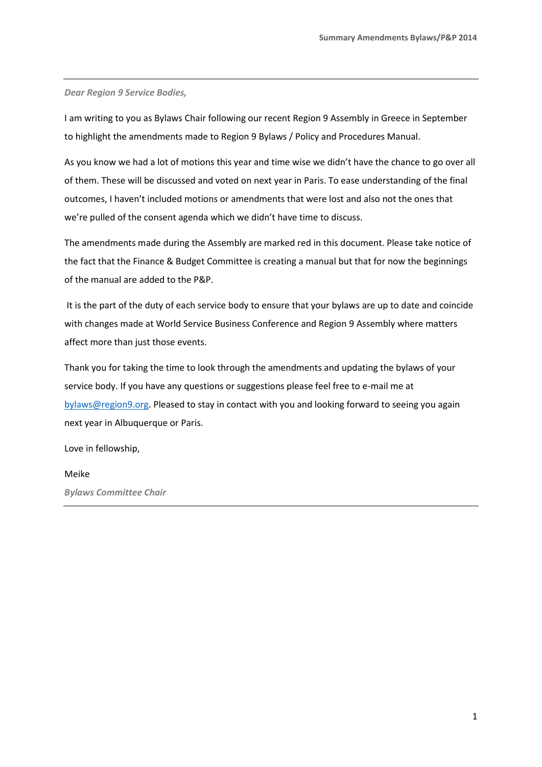*Dear Region 9 Service Bodies,* 

I am writing to you as Bylaws Chair following our recent Region 9 Assembly in Greece in September to highlight the amendments made to Region 9 Bylaws / Policy and Procedures Manual.

As you know we had a lot of motions this year and time wise we didn't have the chance to go over all of them. These will be discussed and voted on next year in Paris. To ease understanding of the final outcomes, I haven't included motions or amendments that were lost and also not the ones that we're pulled of the consent agenda which we didn't have time to discuss.

The amendments made during the Assembly are marked red in this document. Please take notice of the fact that the Finance & Budget Committee is creating a manual but that for now the beginnings of the manual are added to the P&P.

It is the part of the duty of each service body to ensure that your bylaws are up to date and coincide with changes made at World Service Business Conference and Region 9 Assembly where matters affect more than just those events.

Thank you for taking the time to look through the amendments and updating the bylaws of your service body. If you have any questions or suggestions please feel free to e-mail me at [bylaws@region9.org.](mailto:bylaws@region9.org) Pleased to stay in contact with you and looking forward to seeing you again next year in Albuquerque or Paris.

Love in fellowship,

## Meike

*Bylaws Committee Chair*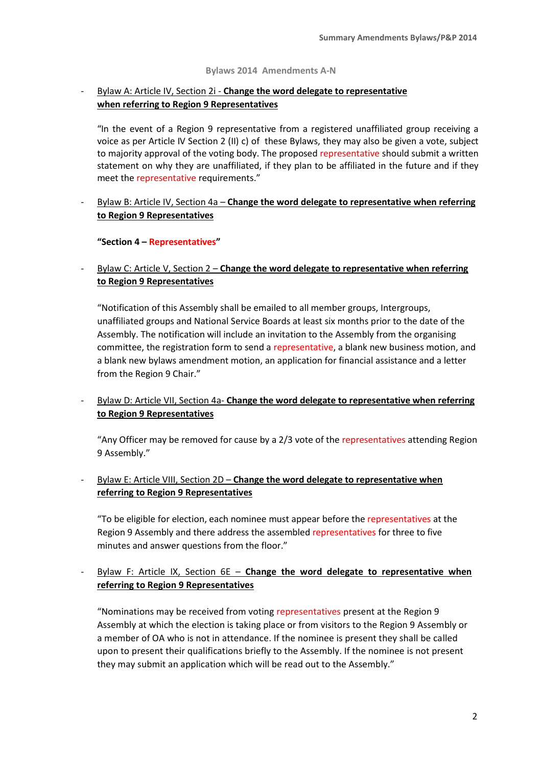#### **Bylaws 2014 Amendments A-N**

# - Bylaw A: Article IV, Section 2i - **Change the word delegate to representative when referring to Region 9 Representatives**

"In the event of a Region 9 representative from a registered unaffiliated group receiving a voice as per Article IV Section 2 (II) c) of these Bylaws, they may also be given a vote, subject to majority approval of the voting body. The proposed representative should submit a written statement on why they are unaffiliated, if they plan to be affiliated in the future and if they meet the representative requirements."

- Bylaw B: Article IV, Section 4a – **Change the word delegate to representative when referring to Region 9 Representatives** 

### **"Section 4 – Representatives"**

## - Bylaw C: Article V, Section 2 – **Change the word delegate to representative when referring to Region 9 Representatives**

"Notification of this Assembly shall be emailed to all member groups, Intergroups, unaffiliated groups and National Service Boards at least six months prior to the date of the Assembly. The notification will include an invitation to the Assembly from the organising committee, the registration form to send a representative, a blank new business motion, and a blank new bylaws amendment motion, an application for financial assistance and a letter from the Region 9 Chair."

## - Bylaw D: Article VII, Section 4a- **Change the word delegate to representative when referring to Region 9 Representatives**

"Any Officer may be removed for cause by a 2/3 vote of the representatives attending Region 9 Assembly."

- Bylaw E: Article VIII, Section 2D – **Change the word delegate to representative when referring to Region 9 Representatives** 

"To be eligible for election, each nominee must appear before the representatives at the Region 9 Assembly and there address the assembled representatives for three to five minutes and answer questions from the floor."

## - Bylaw F: Article IX, Section 6E – **Change the word delegate to representative when referring to Region 9 Representatives**

"Nominations may be received from voting representatives present at the Region 9 Assembly at which the election is taking place or from visitors to the Region 9 Assembly or a member of OA who is not in attendance. If the nominee is present they shall be called upon to present their qualifications briefly to the Assembly. If the nominee is not present they may submit an application which will be read out to the Assembly."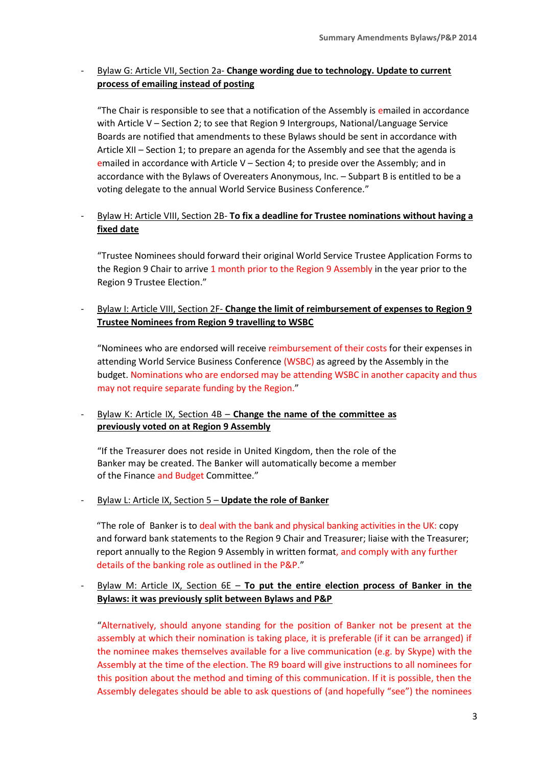# - Bylaw G: Article VII, Section 2a- **Change wording due to technology. Update to current process of emailing instead of posting**

"The Chair is responsible to see that a notification of the Assembly is emailed in accordance with Article V – Section 2; to see that Region 9 Intergroups, National/Language Service Boards are notified that amendments to these Bylaws should be sent in accordance with Article XII – Section 1; to prepare an agenda for the Assembly and see that the agenda is emailed in accordance with Article  $V -$  Section 4; to preside over the Assembly; and in accordance with the Bylaws of Overeaters Anonymous, Inc. – Subpart B is entitled to be a voting delegate to the annual World Service Business Conference."

# - Bylaw H: Article VIII, Section 2B- **To fix a deadline for Trustee nominations without having a fixed date**

"Trustee Nominees should forward their original World Service Trustee Application Forms to the Region 9 Chair to arrive 1 month prior to the Region 9 Assembly in the year prior to the Region 9 Trustee Election."

# - Bylaw I: Article VIII, Section 2F- **Change the limit of reimbursement of expenses to Region 9 Trustee Nominees from Region 9 travelling to WSBC**

"Nominees who are endorsed will receive reimbursement of their costs for their expenses in attending World Service Business Conference (WSBC) as agreed by the Assembly in the budget. Nominations who are endorsed may be attending WSBC in another capacity and thus may not require separate funding by the Region."

## - Bylaw K: Article IX, Section 4B – **Change the name of the committee as previously voted on at Region 9 Assembly**

"If the Treasurer does not reside in United Kingdom, then the role of the Banker may be created. The Banker will automatically become a member of the Finance and Budget Committee."

## - Bylaw L: Article IX, Section 5 – **Update the role of Banker**

"The role of Banker is to deal with the bank and physical banking activities in the UK: copy and forward bank statements to the Region 9 Chair and Treasurer; liaise with the Treasurer; report annually to the Region 9 Assembly in written format, and comply with any further details of the banking role as outlined in the P&P."

## - Bylaw M: Article IX, Section 6E – **To put the entire election process of Banker in the Bylaws: it was previously split between Bylaws and P&P**

"Alternatively, should anyone standing for the position of Banker not be present at the assembly at which their nomination is taking place, it is preferable (if it can be arranged) if the nominee makes themselves available for a live communication (e.g. by Skype) with the Assembly at the time of the election. The R9 board will give instructions to all nominees for this position about the method and timing of this communication. If it is possible, then the Assembly delegates should be able to ask questions of (and hopefully "see") the nominees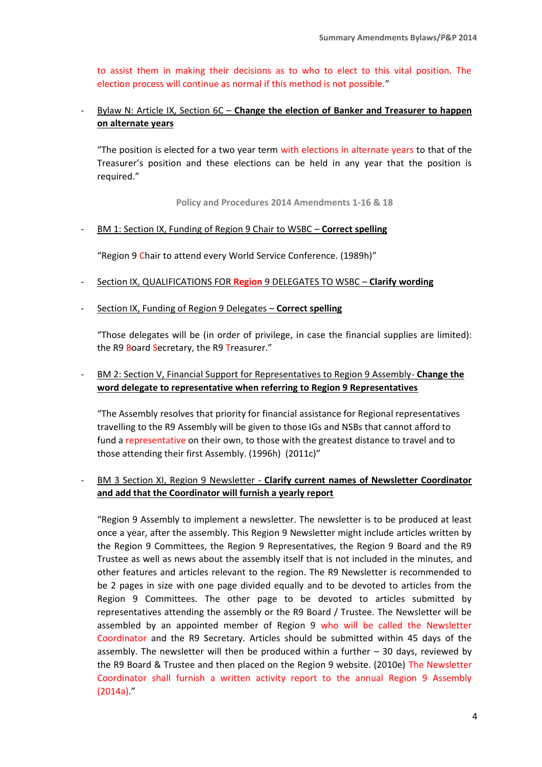to assist them in making their decisions as to who to elect to this vital position. The election process will continue as normal if this method is not possible."

# - Bylaw N: Article IX, Section 6C – **Change the election of Banker and Treasurer to happen on alternate years**

"The position is elected for a two year term with elections in alternate years to that of the Treasurer's position and these elections can be held in any year that the position is required."

**Policy and Procedures 2014 Amendments 1-16 & 18**

## - BM 1: Section IX, Funding of Region 9 Chair to WSBC – **Correct spelling**

"Region 9 Chair to attend every World Service Conference. (1989h)"

- Section IX, QUALIFICATIONS FOR **Region** 9 DELEGATES TO WSBC **Clarify wording**
- Section IX, Funding of Region 9 Delegates **Correct spelling**

"Those delegates will be (in order of privilege, in case the financial supplies are limited): the R9 Board Secretary, the R9 Treasurer."

## - BM 2: Section V, Financial Support for Representatives to Region 9 Assembly- **Change the word delegate to representative when referring to Region 9 Representatives**

"The Assembly resolves that priority for financial assistance for Regional representatives travelling to the R9 Assembly will be given to those IGs and NSBs that cannot afford to fund a representative on their own, to those with the greatest distance to travel and to those attending their first Assembly. (1996h) (2011c)"

- BM 3 Section XI, Region 9 Newsletter - **Clarify current names of Newsletter Coordinator and add that the Coordinator will furnish a yearly report**

"Region 9 Assembly to implement a newsletter. The newsletter is to be produced at least once a year, after the assembly. This Region 9 Newsletter might include articles written by the Region 9 Committees, the Region 9 Representatives, the Region 9 Board and the R9 Trustee as well as news about the assembly itself that is not included in the minutes, and other features and articles relevant to the region. The R9 Newsletter is recommended to be 2 pages in size with one page divided equally and to be devoted to articles from the Region 9 Committees. The other page to be devoted to articles submitted by representatives attending the assembly or the R9 Board / Trustee. The Newsletter will be assembled by an appointed member of Region 9 who will be called the Newsletter Coordinator and the R9 Secretary. Articles should be submitted within 45 days of the assembly. The newsletter will then be produced within a further – 30 days, reviewed by the R9 Board & Trustee and then placed on the Region 9 website. (2010e) The Newsletter Coordinator shall furnish a written activity report to the annual Region 9 Assembly  $(2014a)$ ."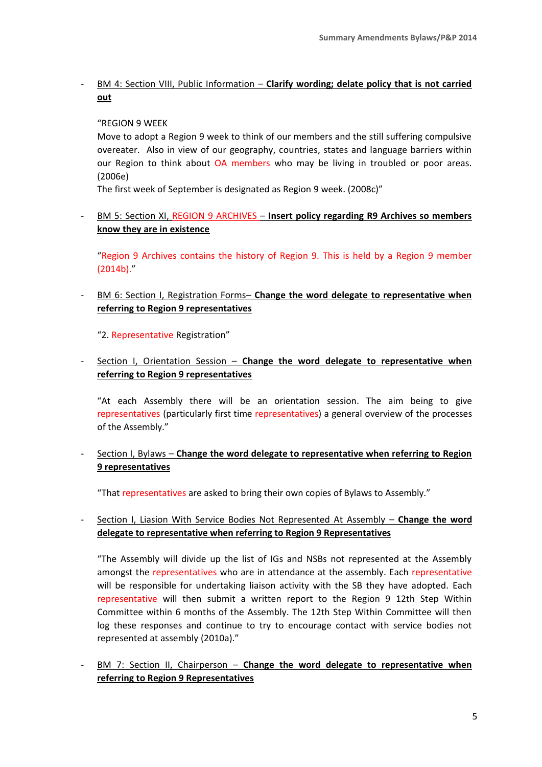# - BM 4: Section VIII, Public Information – **Clarify wording; delate policy that is not carried out**

### "REGION 9 WEEK

Move to adopt a Region 9 week to think of our members and the still suffering compulsive overeater. Also in view of our geography, countries, states and language barriers within our Region to think about OA members who may be living in troubled or poor areas. (2006e)

The first week of September is designated as Region 9 week. (2008c)"

- BM 5: Section XI, REGION 9 ARCHIVES – **Insert policy regarding R9 Archives so members know they are in existence**

"Region 9 Archives contains the history of Region 9. This is held by a Region 9 member (2014b)."

- BM 6: Section I, Registration Forms– **Change the word delegate to representative when referring to Region 9 representatives** 

"2. Representative Registration"

- Section I, Orientation Session – **Change the word delegate to representative when referring to Region 9 representatives**

"At each Assembly there will be an orientation session. The aim being to give representatives (particularly first time representatives) a general overview of the processes of the Assembly."

- Section I, Bylaws – **Change the word delegate to representative when referring to Region 9 representatives** 

"That representatives are asked to bring their own copies of Bylaws to Assembly."

- Section I, Liasion With Service Bodies Not Represented At Assembly – **Change the word delegate to representative when referring to Region 9 Representatives**

"The Assembly will divide up the list of IGs and NSBs not represented at the Assembly amongst the representatives who are in attendance at the assembly. Each representative will be responsible for undertaking liaison activity with the SB they have adopted. Each representative will then submit a written report to the Region 9 12th Step Within Committee within 6 months of the Assembly. The 12th Step Within Committee will then log these responses and continue to try to encourage contact with service bodies not represented at assembly (2010a)."

- BM 7: Section II, Chairperson – **Change the word delegate to representative when referring to Region 9 Representatives**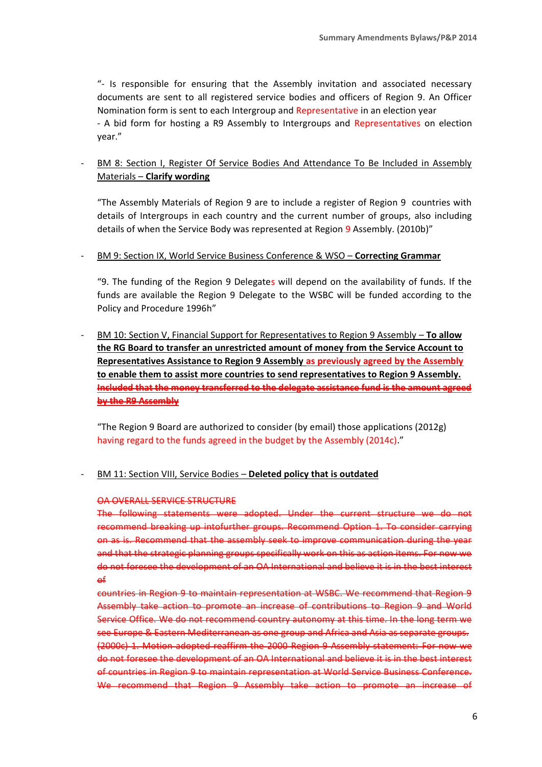"- Is responsible for ensuring that the Assembly invitation and associated necessary documents are sent to all registered service bodies and officers of Region 9. An Officer Nomination form is sent to each Intergroup and Representative in an election year - A bid form for hosting a R9 Assembly to Intergroups and Representatives on election year."

# - BM 8: Section I, Register Of Service Bodies And Attendance To Be Included in Assembly Materials – **Clarify wording**

"The Assembly Materials of Region 9 are to include a register of Region 9 countries with details of Intergroups in each country and the current number of groups, also including details of when the Service Body was represented at Region 9 Assembly. (2010b)"

#### - BM 9: Section IX, World Service Business Conference & WSO – **Correcting Grammar**

"9. The funding of the Region 9 Delegates will depend on the availability of funds. If the funds are available the Region 9 Delegate to the WSBC will be funded according to the Policy and Procedure 1996h"

- BM 10: Section V, Financial Support for Representatives to Region 9 Assembly – **To allow the RG Board to transfer an unrestricted amount of money from the Service Account to Representatives Assistance to Region 9 Assembly as previously agreed by the Assembly to enable them to assist more countries to send representatives to Region 9 Assembly. Included that the money transferred to the delegate assistance fund is the amount agreed by the R9 Assembly**

"The Region 9 Board are authorized to consider (by email) those applications (2012g) having regard to the funds agreed in the budget by the Assembly (2014c)."

## - BM 11: Section VIII, Service Bodies – **Deleted policy that is outdated**

#### OA OVERALL SERVICE STRUCTURE

The following statements were adopted. Under the current structure we do not recommend breaking up intofurther groups. Recommend Option 1. To consider carrying on as is. Recommend that the assembly seek to improve communication during the year and that the strategic planning groups specifically work on this as action items. For now we do not foresee the development of an OA International and believe it is in the best interest of

countries in Region 9 to maintain representation at WSBC. We recommend that Region 9 Assembly take action to promote an increase of contributions to Region 9 and World Service Office. We do not recommend country autonomy at this time. In the long term we see Europe & Eastern Mediterranean as one group and Africa and Asia as separate groups. (2000c) 1. Motion adopted reaffirm the 2000 Region 9 Assembly statement: For now we do not foresee the development of an OA International and believe it is in the best interest of countries in Region 9 to maintain representation at World Service Business Conference. We recommend that Region 9 Assembly take action to promote an increase of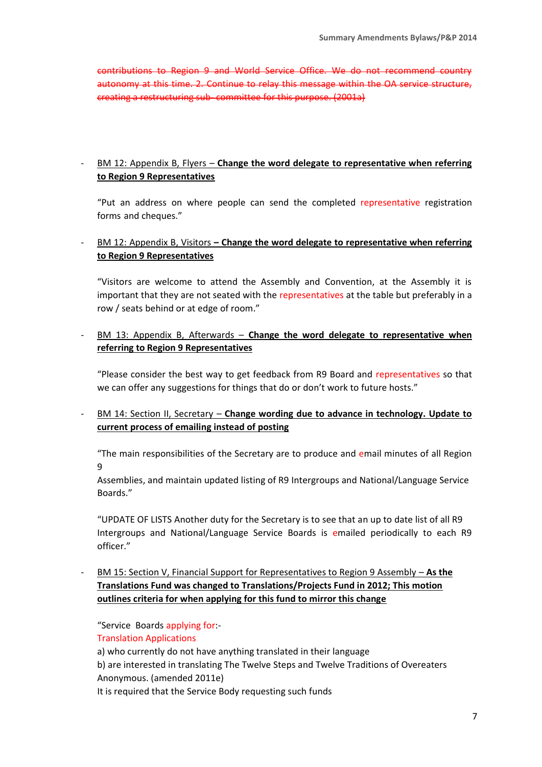contributions to Region 9 and World Service Office. We do not recommend country autonomy at this time. 2. Continue to relay this message within the OA service structure, creating a restructuring sub- committee for this purpose. (2001a)

# - BM 12: Appendix B, Flyers – **Change the word delegate to representative when referring to Region 9 Representatives**

"Put an address on where people can send the completed representative registration forms and cheques."

## - BM 12: Appendix B, Visitors **– Change the word delegate to representative when referring to Region 9 Representatives**

"Visitors are welcome to attend the Assembly and Convention, at the Assembly it is important that they are not seated with the representatives at the table but preferably in a row / seats behind or at edge of room."

- BM 13: Appendix B, Afterwards – **Change the word delegate to representative when referring to Region 9 Representatives**

"Please consider the best way to get feedback from R9 Board and representatives so that we can offer any suggestions for things that do or don't work to future hosts."

- BM 14: Section II, Secretary – **Change wording due to advance in technology. Update to current process of emailing instead of posting**

"The main responsibilities of the Secretary are to produce and email minutes of all Region 9

Assemblies, and maintain updated listing of R9 Intergroups and National/Language Service Boards."

"UPDATE OF LISTS Another duty for the Secretary is to see that an up to date list of all R9 Intergroups and National/Language Service Boards is emailed periodically to each R9 officer."

- BM 15: Section V, Financial Support for Representatives to Region 9 Assembly – **As the Translations Fund was changed to Translations/Projects Fund in 2012; This motion outlines criteria for when applying for this fund to mirror this change**

"Service Boards applying for:-

Translation Applications

a) who currently do not have anything translated in their language

b) are interested in translating The Twelve Steps and Twelve Traditions of Overeaters Anonymous. (amended 2011e)

It is required that the Service Body requesting such funds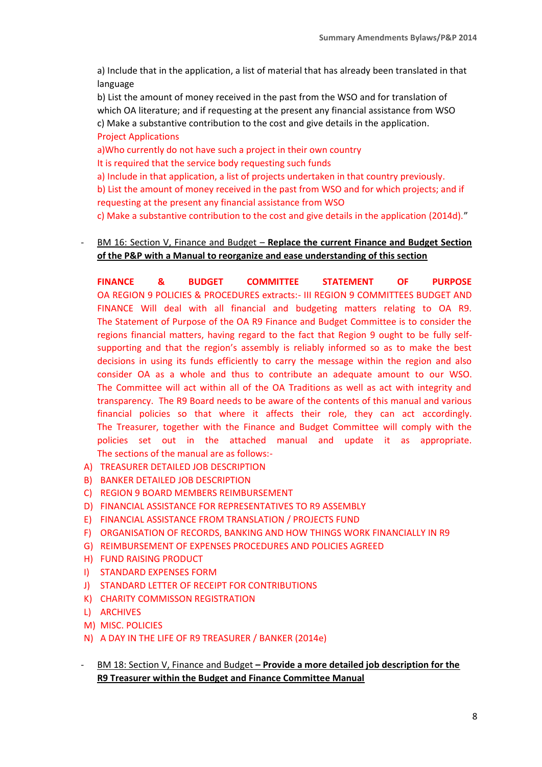a) Include that in the application, a list of material that has already been translated in that language

b) List the amount of money received in the past from the WSO and for translation of which OA literature; and if requesting at the present any financial assistance from WSO c) Make a substantive contribution to the cost and give details in the application. Project Applications

a)Who currently do not have such a project in their own country

It is required that the service body requesting such funds

a) Include in that application, a list of projects undertaken in that country previously.

b) List the amount of money received in the past from WSO and for which projects; and if requesting at the present any financial assistance from WSO

c) Make a substantive contribution to the cost and give details in the application (2014d)."

# - BM 16: Section V, Finance and Budget – **Replace the current Finance and Budget Section of the P&P with a Manual to reorganize and ease understanding of this section**

**FINANCE & BUDGET COMMITTEE STATEMENT OF PURPOSE** OA REGION 9 POLICIES & PROCEDURES extracts:- III REGION 9 COMMITTEES BUDGET AND FINANCE Will deal with all financial and budgeting matters relating to OA R9. The Statement of Purpose of the OA R9 Finance and Budget Committee is to consider the regions financial matters, having regard to the fact that Region 9 ought to be fully selfsupporting and that the region's assembly is reliably informed so as to make the best decisions in using its funds efficiently to carry the message within the region and also consider OA as a whole and thus to contribute an adequate amount to our WSO. The Committee will act within all of the OA Traditions as well as act with integrity and transparency. The R9 Board needs to be aware of the contents of this manual and various financial policies so that where it affects their role, they can act accordingly. The Treasurer, together with the Finance and Budget Committee will comply with the policies set out in the attached manual and update it as appropriate. The sections of the manual are as follows:-

- A) TREASURER DETAILED JOB DESCRIPTION
- B) BANKER DETAILED JOB DESCRIPTION
- C) REGION 9 BOARD MEMBERS REIMBURSEMENT
- D) FINANCIAL ASSISTANCE FOR REPRESENTATIVES TO R9 ASSEMBLY
- E) FINANCIAL ASSISTANCE FROM TRANSLATION / PROJECTS FUND
- F) ORGANISATION OF RECORDS, BANKING AND HOW THINGS WORK FINANCIALLY IN R9
- G) REIMBURSEMENT OF EXPENSES PROCEDURES AND POLICIES AGREED
- H) FUND RAISING PRODUCT
- I) STANDARD EXPENSES FORM
- J) STANDARD LETTER OF RECEIPT FOR CONTRIBUTIONS
- K) CHARITY COMMISSON REGISTRATION
- L) ARCHIVES
- M) MISC. POLICIES
- N) A DAY IN THE LIFE OF R9 TREASURER / BANKER (2014e)
- BM 18: Section V, Finance and Budget **– Provide a more detailed job description for the R9 Treasurer within the Budget and Finance Committee Manual**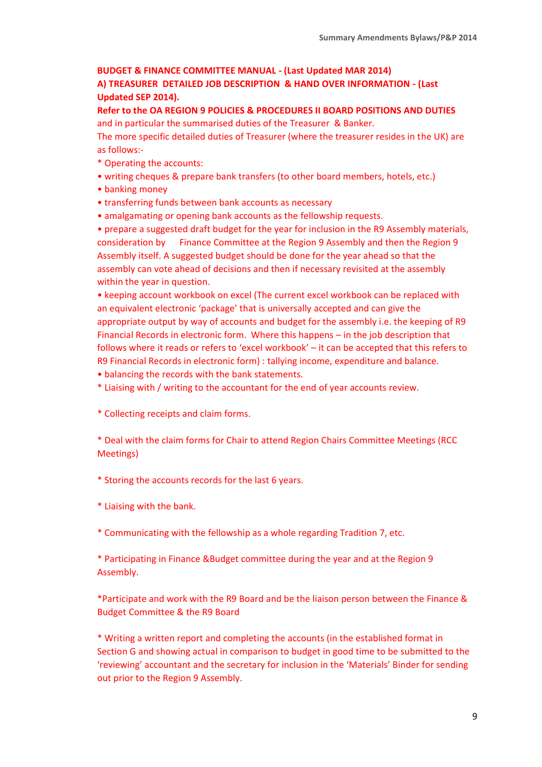# **BUDGET & FINANCE COMMITTEE MANUAL - (Last Updated MAR 2014) A) TREASURER DETAILED JOB DESCRIPTION & HAND OVER INFORMATION - (Last Updated SEP 2014).**

**Refer to the OA REGION 9 POLICIES & PROCEDURES II BOARD POSITIONS AND DUTIES** and in particular the summarised duties of the Treasurer & Banker.

The more specific detailed duties of Treasurer (where the treasurer resides in the UK) are as follows:-

- \* Operating the accounts:
- writing cheques & prepare bank transfers (to other board members, hotels, etc.)
- banking money
- transferring funds between bank accounts as necessary
- amalgamating or opening bank accounts as the fellowship requests.

• prepare a suggested draft budget for the year for inclusion in the R9 Assembly materials, consideration by Finance Committee at the Region 9 Assembly and then the Region 9 Assembly itself. A suggested budget should be done for the year ahead so that the assembly can vote ahead of decisions and then if necessary revisited at the assembly within the year in question.

• keeping account workbook on excel (The current excel workbook can be replaced with an equivalent electronic 'package' that is universally accepted and can give the appropriate output by way of accounts and budget for the assembly i.e. the keeping of R9 Financial Records in electronic form. Where this happens – in the job description that follows where it reads or refers to 'excel workbook' – it can be accepted that this refers to R9 Financial Records in electronic form) : tallying income, expenditure and balance.

- balancing the records with the bank statements.
- \* Liaising with / writing to the accountant for the end of year accounts review.
- \* Collecting receipts and claim forms.

\* Deal with the claim forms for Chair to attend Region Chairs Committee Meetings (RCC Meetings)

\* Storing the accounts records for the last 6 years.

\* Liaising with the bank.

\* Communicating with the fellowship as a whole regarding Tradition 7, etc.

\* Participating in Finance &Budget committee during the year and at the Region 9 Assembly.

\*Participate and work with the R9 Board and be the liaison person between the Finance & Budget Committee & the R9 Board

\* Writing a written report and completing the accounts (in the established format in Section G and showing actual in comparison to budget in good time to be submitted to the 'reviewing' accountant and the secretary for inclusion in the 'Materials' Binder for sending out prior to the Region 9 Assembly.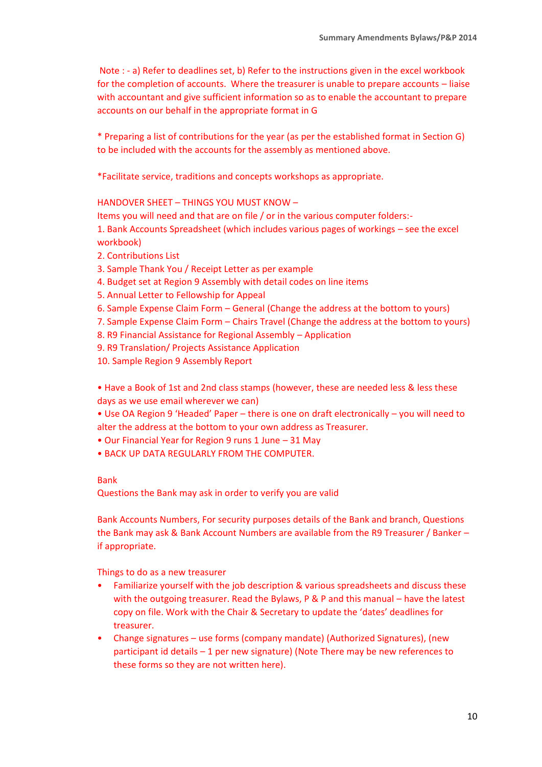Note : - a) Refer to deadlines set, b) Refer to the instructions given in the excel workbook for the completion of accounts. Where the treasurer is unable to prepare accounts – liaise with accountant and give sufficient information so as to enable the accountant to prepare accounts on our behalf in the appropriate format in G

\* Preparing a list of contributions for the year (as per the established format in Section G) to be included with the accounts for the assembly as mentioned above.

\*Facilitate service, traditions and concepts workshops as appropriate.

HANDOVER SHEET – THINGS YOU MUST KNOW –

Items you will need and that are on file / or in the various computer folders:-

1. Bank Accounts Spreadsheet (which includes various pages of workings – see the excel workbook)

- 2. Contributions List
- 3. Sample Thank You / Receipt Letter as per example
- 4. Budget set at Region 9 Assembly with detail codes on line items
- 5. Annual Letter to Fellowship for Appeal
- 6. Sample Expense Claim Form General (Change the address at the bottom to yours)
- 7. Sample Expense Claim Form Chairs Travel (Change the address at the bottom to yours)
- 8. R9 Financial Assistance for Regional Assembly Application
- 9. R9 Translation/ Projects Assistance Application
- 10. Sample Region 9 Assembly Report

• Have a Book of 1st and 2nd class stamps (however, these are needed less & less these days as we use email wherever we can)

• Use OA Region 9 'Headed' Paper – there is one on draft electronically – you will need to alter the address at the bottom to your own address as Treasurer.

- Our Financial Year for Region 9 runs 1 June 31 May
- BACK UP DATA REGULARLY FROM THE COMPUTER.

#### Bank

Questions the Bank may ask in order to verify you are valid

Bank Accounts Numbers, For security purposes details of the Bank and branch, Questions the Bank may ask & Bank Account Numbers are available from the R9 Treasurer / Banker – if appropriate.

Things to do as a new treasurer

- Familiarize yourself with the job description & various spreadsheets and discuss these with the outgoing treasurer. Read the Bylaws, P & P and this manual – have the latest copy on file. Work with the Chair & Secretary to update the 'dates' deadlines for treasurer.
- Change signatures use forms (company mandate) (Authorized Signatures), (new participant id details – 1 per new signature) (Note There may be new references to these forms so they are not written here).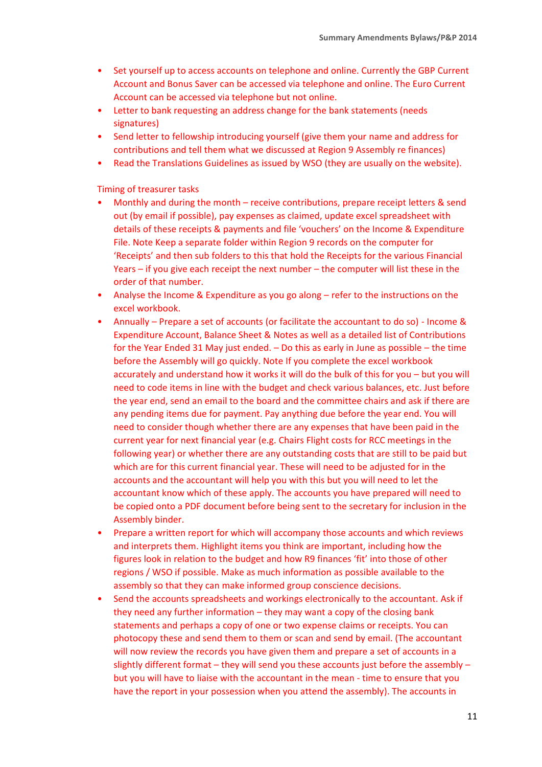- Set yourself up to access accounts on telephone and online. Currently the GBP Current Account and Bonus Saver can be accessed via telephone and online. The Euro Current Account can be accessed via telephone but not online.
- Letter to bank requesting an address change for the bank statements (needs signatures)
- Send letter to fellowship introducing yourself (give them your name and address for contributions and tell them what we discussed at Region 9 Assembly re finances)
- Read the Translations Guidelines as issued by WSO (they are usually on the website).

Timing of treasurer tasks

- Monthly and during the month receive contributions, prepare receipt letters & send out (by email if possible), pay expenses as claimed, update excel spreadsheet with details of these receipts & payments and file 'vouchers' on the Income & Expenditure File. Note Keep a separate folder within Region 9 records on the computer for 'Receipts' and then sub folders to this that hold the Receipts for the various Financial Years – if you give each receipt the next number – the computer will list these in the order of that number.
- Analyse the Income & Expenditure as you go along refer to the instructions on the excel workbook.
- Annually Prepare a set of accounts (or facilitate the accountant to do so) Income & Expenditure Account, Balance Sheet & Notes as well as a detailed list of Contributions for the Year Ended 31 May just ended. – Do this as early in June as possible – the time before the Assembly will go quickly. Note If you complete the excel workbook accurately and understand how it works it will do the bulk of this for you – but you will need to code items in line with the budget and check various balances, etc. Just before the year end, send an email to the board and the committee chairs and ask if there are any pending items due for payment. Pay anything due before the year end. You will need to consider though whether there are any expenses that have been paid in the current year for next financial year (e.g. Chairs Flight costs for RCC meetings in the following year) or whether there are any outstanding costs that are still to be paid but which are for this current financial year. These will need to be adjusted for in the accounts and the accountant will help you with this but you will need to let the accountant know which of these apply. The accounts you have prepared will need to be copied onto a PDF document before being sent to the secretary for inclusion in the Assembly binder.
- Prepare a written report for which will accompany those accounts and which reviews and interprets them. Highlight items you think are important, including how the figures look in relation to the budget and how R9 finances 'fit' into those of other regions / WSO if possible. Make as much information as possible available to the assembly so that they can make informed group conscience decisions.
- Send the accounts spreadsheets and workings electronically to the accountant. Ask if they need any further information – they may want a copy of the closing bank statements and perhaps a copy of one or two expense claims or receipts. You can photocopy these and send them to them or scan and send by email. (The accountant will now review the records you have given them and prepare a set of accounts in a slightly different format – they will send you these accounts just before the assembly – but you will have to liaise with the accountant in the mean - time to ensure that you have the report in your possession when you attend the assembly). The accounts in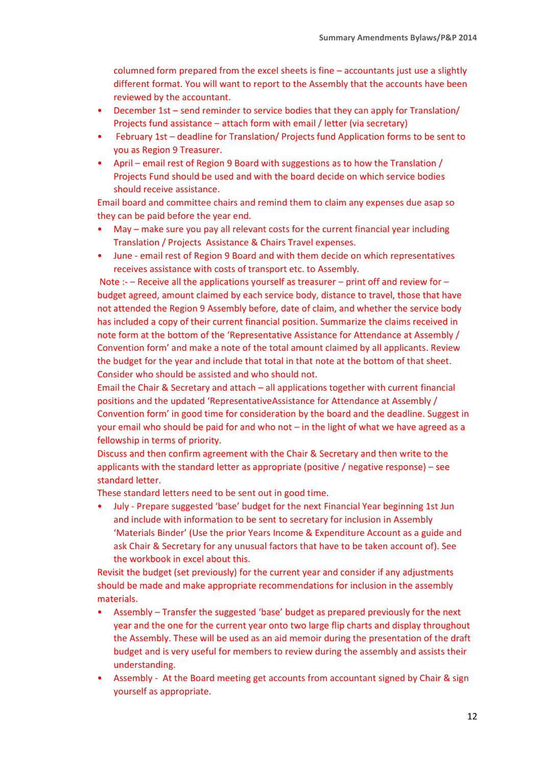columned form prepared from the excel sheets is fine – accountants just use a slightly different format. You will want to report to the Assembly that the accounts have been reviewed by the accountant.

- December 1st send reminder to service bodies that they can apply for Translation/ Projects fund assistance – attach form with email / letter (via secretary)
- February 1st deadline for Translation/ Projects fund Application forms to be sent to you as Region 9 Treasurer.
- April email rest of Region 9 Board with suggestions as to how the Translation / Projects Fund should be used and with the board decide on which service bodies should receive assistance.

Email board and committee chairs and remind them to claim any expenses due asap so they can be paid before the year end.

- May make sure you pay all relevant costs for the current financial year including Translation / Projects Assistance & Chairs Travel expenses.
- June email rest of Region 9 Board and with them decide on which representatives receives assistance with costs of transport etc. to Assembly.

Note :- – Receive all the applications yourself as treasurer – print off and review for – budget agreed, amount claimed by each service body, distance to travel, those that have not attended the Region 9 Assembly before, date of claim, and whether the service body has included a copy of their current financial position. Summarize the claims received in note form at the bottom of the 'Representative Assistance for Attendance at Assembly / Convention form' and make a note of the total amount claimed by all applicants. Review the budget for the year and include that total in that note at the bottom of that sheet. Consider who should be assisted and who should not.

Email the Chair & Secretary and attach – all applications together with current financial positions and the updated 'RepresentativeAssistance for Attendance at Assembly / Convention form' in good time for consideration by the board and the deadline. Suggest in your email who should be paid for and who not – in the light of what we have agreed as a fellowship in terms of priority.

Discuss and then confirm agreement with the Chair & Secretary and then write to the applicants with the standard letter as appropriate (positive / negative response) – see standard letter.

These standard letters need to be sent out in good time.

• July - Prepare suggested 'base' budget for the next Financial Year beginning 1st Jun and include with information to be sent to secretary for inclusion in Assembly 'Materials Binder' (Use the prior Years Income & Expenditure Account as a guide and ask Chair & Secretary for any unusual factors that have to be taken account of). See the workbook in excel about this.

Revisit the budget (set previously) for the current year and consider if any adjustments should be made and make appropriate recommendations for inclusion in the assembly materials.

- Assembly Transfer the suggested 'base' budget as prepared previously for the next year and the one for the current year onto two large flip charts and display throughout the Assembly. These will be used as an aid memoir during the presentation of the draft budget and is very useful for members to review during the assembly and assists their understanding.
- Assembly At the Board meeting get accounts from accountant signed by Chair & sign yourself as appropriate.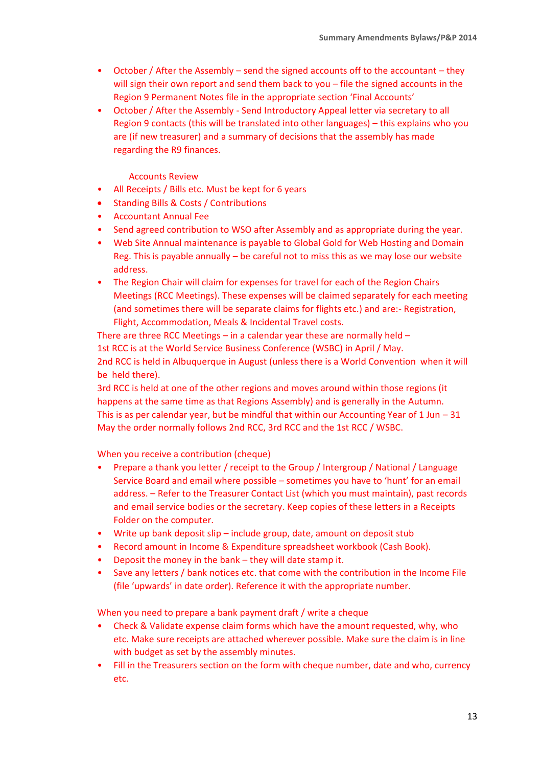- October / After the Assembly send the signed accounts off to the accountant they will sign their own report and send them back to you – file the signed accounts in the Region 9 Permanent Notes file in the appropriate section 'Final Accounts'
- October / After the Assembly Send Introductory Appeal letter via secretary to all Region 9 contacts (this will be translated into other languages) – this explains who you are (if new treasurer) and a summary of decisions that the assembly has made regarding the R9 finances.

### Accounts Review

- All Receipts / Bills etc. Must be kept for 6 years
- Standing Bills & Costs / Contributions
- Accountant Annual Fee
- Send agreed contribution to WSO after Assembly and as appropriate during the year.
- Web Site Annual maintenance is payable to Global Gold for Web Hosting and Domain Reg. This is payable annually – be careful not to miss this as we may lose our website address.
- The Region Chair will claim for expenses for travel for each of the Region Chairs Meetings (RCC Meetings). These expenses will be claimed separately for each meeting (and sometimes there will be separate claims for flights etc.) and are:- Registration, Flight, Accommodation, Meals & Incidental Travel costs.

There are three RCC Meetings – in a calendar year these are normally held – 1st RCC is at the World Service Business Conference (WSBC) in April / May. 2nd RCC is held in Albuquerque in August (unless there is a World Convention when it will be held there).

3rd RCC is held at one of the other regions and moves around within those regions (it happens at the same time as that Regions Assembly) and is generally in the Autumn. This is as per calendar year, but be mindful that within our Accounting Year of  $1 \text{ Jun} - 31$ May the order normally follows 2nd RCC, 3rd RCC and the 1st RCC / WSBC.

When you receive a contribution (cheque)

- Prepare a thank you letter / receipt to the Group / Intergroup / National / Language Service Board and email where possible – sometimes you have to 'hunt' for an email address. – Refer to the Treasurer Contact List (which you must maintain), past records and email service bodies or the secretary. Keep copies of these letters in a Receipts Folder on the computer.
- Write up bank deposit slip include group, date, amount on deposit stub
- Record amount in Income & Expenditure spreadsheet workbook (Cash Book).
- Deposit the money in the bank they will date stamp it.
- Save any letters / bank notices etc. that come with the contribution in the Income File (file 'upwards' in date order). Reference it with the appropriate number.

When you need to prepare a bank payment draft / write a cheque

- Check & Validate expense claim forms which have the amount requested, why, who etc. Make sure receipts are attached wherever possible. Make sure the claim is in line with budget as set by the assembly minutes.
- Fill in the Treasurers section on the form with cheque number, date and who, currency etc.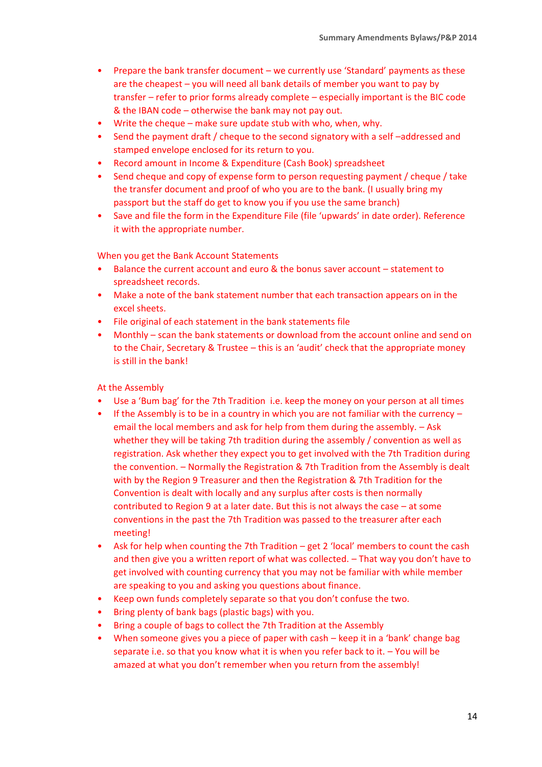- Prepare the bank transfer document we currently use 'Standard' payments as these are the cheapest – you will need all bank details of member you want to pay by transfer – refer to prior forms already complete – especially important is the BIC code & the IBAN code – otherwise the bank may not pay out.
- Write the cheque make sure update stub with who, when, why.
- Send the payment draft / cheque to the second signatory with a self-addressed and stamped envelope enclosed for its return to you.
- Record amount in Income & Expenditure (Cash Book) spreadsheet
- Send cheque and copy of expense form to person requesting payment / cheque / take the transfer document and proof of who you are to the bank. (I usually bring my passport but the staff do get to know you if you use the same branch)
- Save and file the form in the Expenditure File (file 'upwards' in date order). Reference it with the appropriate number.

When you get the Bank Account Statements

- Balance the current account and euro & the bonus saver account statement to spreadsheet records.
- Make a note of the bank statement number that each transaction appears on in the excel sheets.
- File original of each statement in the bank statements file
- Monthly scan the bank statements or download from the account online and send on to the Chair, Secretary & Trustee – this is an 'audit' check that the appropriate money is still in the bank!

At the Assembly

- Use a 'Bum bag' for the 7th Tradition i.e. keep the money on your person at all times
- If the Assembly is to be in a country in which you are not familiar with the currency  $$ email the local members and ask for help from them during the assembly. – Ask whether they will be taking 7th tradition during the assembly / convention as well as registration. Ask whether they expect you to get involved with the 7th Tradition during the convention. – Normally the Registration & 7th Tradition from the Assembly is dealt with by the Region 9 Treasurer and then the Registration & 7th Tradition for the Convention is dealt with locally and any surplus after costs is then normally contributed to Region 9 at a later date. But this is not always the case – at some conventions in the past the 7th Tradition was passed to the treasurer after each meeting!
- Ask for help when counting the 7th Tradition get 2 'local' members to count the cash and then give you a written report of what was collected. – That way you don't have to get involved with counting currency that you may not be familiar with while member are speaking to you and asking you questions about finance.
- Keep own funds completely separate so that you don't confuse the two.
- Bring plenty of bank bags (plastic bags) with you.
- Bring a couple of bags to collect the 7th Tradition at the Assembly
- When someone gives you a piece of paper with cash keep it in a 'bank' change bag separate i.e. so that you know what it is when you refer back to it. – You will be amazed at what you don't remember when you return from the assembly!